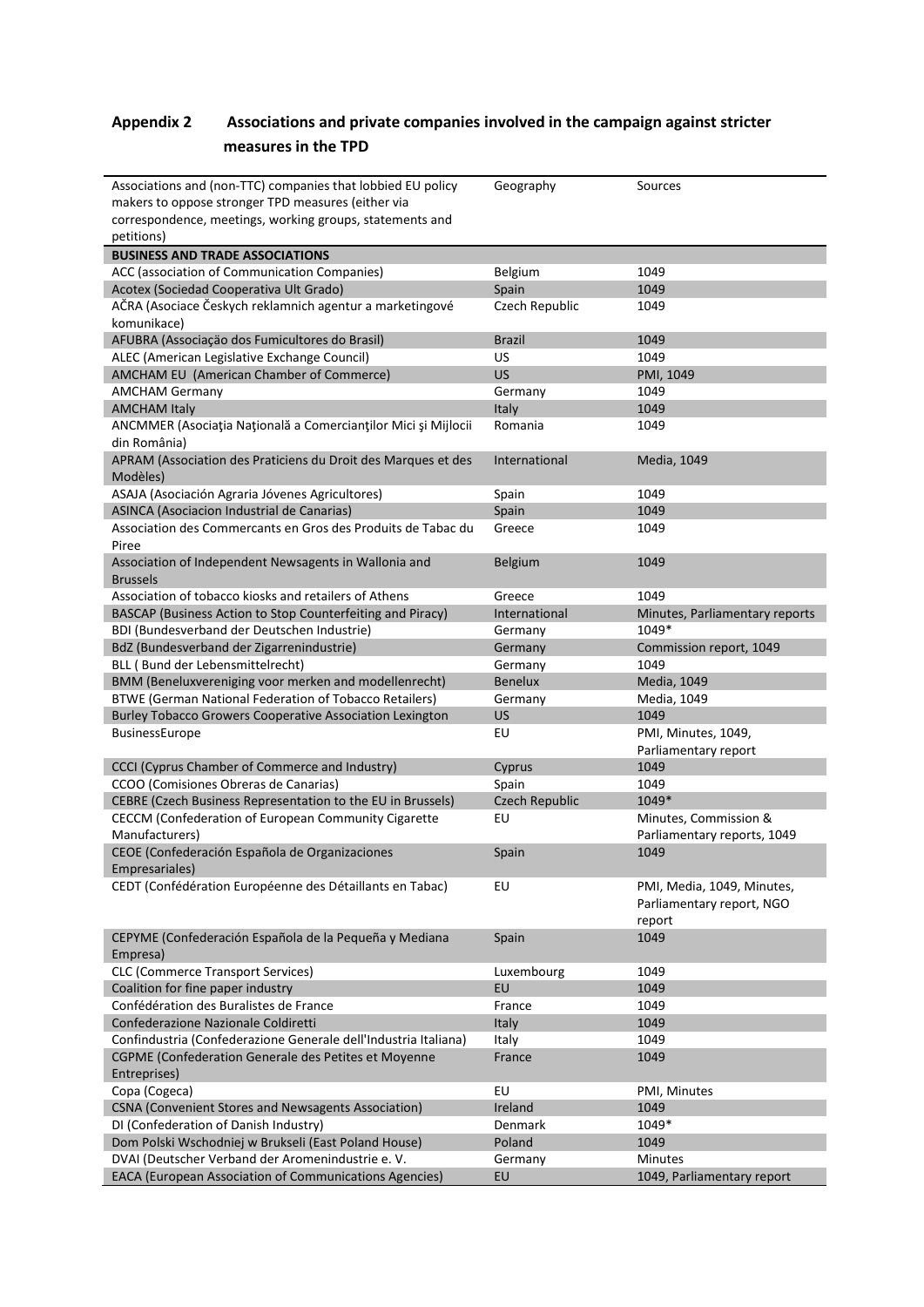## **Appendix 2 Associations and private companies involved in the campaign against stricter measures in the TPD**

| Associations and (non-TTC) companies that lobbied EU policy                    | Geography             | Sources                        |
|--------------------------------------------------------------------------------|-----------------------|--------------------------------|
| makers to oppose stronger TPD measures (either via                             |                       |                                |
| correspondence, meetings, working groups, statements and                       |                       |                                |
| petitions)                                                                     |                       |                                |
| <b>BUSINESS AND TRADE ASSOCIATIONS</b>                                         |                       |                                |
| ACC (association of Communication Companies)                                   | Belgium               | 1049                           |
| Acotex (Sociedad Cooperativa Ult Grado)                                        | Spain                 | 1049                           |
| AČRA (Asociace Českych reklamnich agentur a marketingové                       | Czech Republic        | 1049                           |
| komunikace)                                                                    |                       |                                |
| AFUBRA (Associação dos Fumicultores do Brasil)                                 | <b>Brazil</b>         | 1049                           |
| ALEC (American Legislative Exchange Council)                                   | US                    | 1049                           |
| AMCHAM EU (American Chamber of Commerce)                                       | <b>US</b>             | PMI, 1049                      |
| <b>AMCHAM Germany</b>                                                          | Germany               | 1049                           |
| <b>AMCHAM Italy</b>                                                            | Italy                 | 1049                           |
| ANCMMER (Asociația Națională a Comercianților Mici și Mijlocii<br>din România) | Romania               | 1049                           |
| APRAM (Association des Praticiens du Droit des Marques et des<br>Modèles)      | International         | Media, 1049                    |
| ASAJA (Asociación Agraria Jóvenes Agricultores)                                | Spain                 | 1049                           |
| ASINCA (Asociacion Industrial de Canarias)                                     | Spain                 | 1049                           |
| Association des Commercants en Gros des Produits de Tabac du                   | Greece                | 1049                           |
| Piree                                                                          |                       |                                |
| Association of Independent Newsagents in Wallonia and                          | <b>Belgium</b>        | 1049                           |
| <b>Brussels</b>                                                                |                       |                                |
| Association of tobacco kiosks and retailers of Athens                          | Greece                | 1049                           |
| BASCAP (Business Action to Stop Counterfeiting and Piracy)                     | International         | Minutes, Parliamentary reports |
| BDI (Bundesverband der Deutschen Industrie)                                    | Germany               | 1049*                          |
| BdZ (Bundesverband der Zigarrenindustrie)                                      | Germany               | Commission report, 1049        |
| BLL (Bund der Lebensmittelrecht)                                               | Germany               | 1049                           |
| BMM (Beneluxvereniging voor merken and modellenrecht)                          | <b>Benelux</b>        | Media, 1049                    |
| BTWE (German National Federation of Tobacco Retailers)                         | Germany               | Media, 1049                    |
| <b>Burley Tobacco Growers Cooperative Association Lexington</b>                | <b>US</b>             | 1049                           |
| BusinessEurope                                                                 | EU                    | PMI, Minutes, 1049,            |
|                                                                                |                       | Parliamentary report           |
| CCCI (Cyprus Chamber of Commerce and Industry)                                 | Cyprus                | 1049                           |
| CCOO (Comisiones Obreras de Canarias)                                          | Spain                 | 1049                           |
| CEBRE (Czech Business Representation to the EU in Brussels)                    | <b>Czech Republic</b> | 1049*                          |
| CECCM (Confederation of European Community Cigarette                           | EU                    | Minutes, Commission &          |
| Manufacturers)                                                                 |                       | Parliamentary reports, 1049    |
| CEOE (Confederación Española de Organizaciones                                 | Spain                 | 1049                           |
| Empresariales)                                                                 |                       |                                |
| CEDT (Confédération Européenne des Détaillants en Tabac)                       | EU                    | PMI, Media, 1049, Minutes,     |
|                                                                                |                       | Parliamentary report, NGO      |
|                                                                                |                       | report                         |
| CEPYME (Confederación Española de la Pequeña y Mediana                         | Spain                 | 1049                           |
| Empresa)                                                                       |                       |                                |
| <b>CLC (Commerce Transport Services)</b>                                       | Luxembourg            | 1049                           |
| Coalition for fine paper industry                                              | EU                    | 1049                           |
| Confédération des Buralistes de France                                         | France                | 1049                           |
| Confederazione Nazionale Coldiretti                                            | Italy                 | 1049                           |
| Confindustria (Confederazione Generale dell'Industria Italiana)                | Italy                 | 1049                           |
| CGPME (Confederation Generale des Petites et Moyenne                           | France                | 1049                           |
| Entreprises)                                                                   |                       |                                |
| Copa (Cogeca)                                                                  | EU                    | PMI, Minutes                   |
| CSNA (Convenient Stores and Newsagents Association)                            | Ireland               | 1049                           |
| DI (Confederation of Danish Industry)                                          | Denmark               | 1049*                          |
| Dom Polski Wschodniej w Brukseli (East Poland House)                           | Poland                | 1049                           |
| DVAI (Deutscher Verband der Aromenindustrie e.V.                               | Germany               | Minutes                        |
| EACA (European Association of Communications Agencies)                         | EU                    | 1049, Parliamentary report     |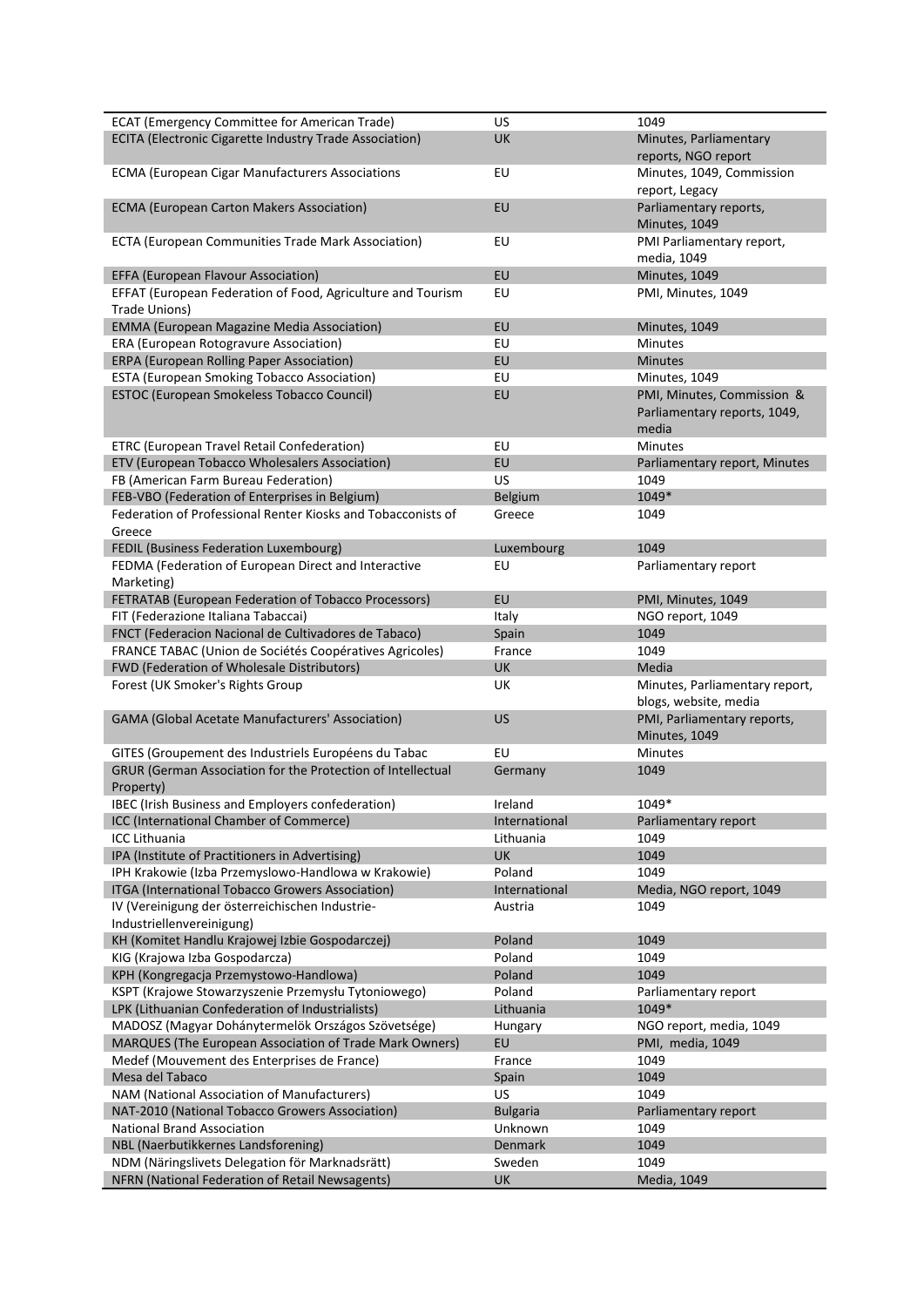| <b>ECAT (Emergency Committee for American Trade)</b>                     | <b>US</b>       | 1049                                                                |
|--------------------------------------------------------------------------|-----------------|---------------------------------------------------------------------|
| ECITA (Electronic Cigarette Industry Trade Association)                  | UK              | Minutes, Parliamentary<br>reports, NGO report                       |
| <b>ECMA (European Cigar Manufacturers Associations</b>                   | EU              | Minutes, 1049, Commission                                           |
| <b>ECMA (European Carton Makers Association)</b>                         | EU              | report, Legacy<br>Parliamentary reports,<br>Minutes, 1049           |
| ECTA (European Communities Trade Mark Association)                       | EU              | PMI Parliamentary report,<br>media, 1049                            |
| EFFA (European Flavour Association)                                      | EU              | Minutes, 1049                                                       |
| EFFAT (European Federation of Food, Agriculture and Tourism              | EU              | PMI, Minutes, 1049                                                  |
| Trade Unions)                                                            |                 |                                                                     |
| <b>EMMA (European Magazine Media Association)</b>                        | EU              | Minutes, 1049                                                       |
| ERA (European Rotogravure Association)                                   | EU              | Minutes                                                             |
| ERPA (European Rolling Paper Association)                                | EU              | <b>Minutes</b>                                                      |
| ESTA (European Smoking Tobacco Association)                              | EU              | Minutes, 1049                                                       |
| ESTOC (European Smokeless Tobacco Council)                               | EU              | PMI, Minutes, Commission &<br>Parliamentary reports, 1049,<br>media |
| ETRC (European Travel Retail Confederation)                              | EU              | <b>Minutes</b>                                                      |
| ETV (European Tobacco Wholesalers Association)                           | EU              | Parliamentary report, Minutes                                       |
| FB (American Farm Bureau Federation)                                     | <b>US</b>       | 1049                                                                |
| FEB-VBO (Federation of Enterprises in Belgium)                           | Belgium         | 1049*                                                               |
| Federation of Professional Renter Kiosks and Tobacconists of<br>Greece   | Greece          | 1049                                                                |
| FEDIL (Business Federation Luxembourg)                                   | Luxembourg      | 1049                                                                |
| FEDMA (Federation of European Direct and Interactive                     | EU              | Parliamentary report                                                |
| Marketing)                                                               |                 |                                                                     |
| FETRATAB (European Federation of Tobacco Processors)                     | EU              | PMI, Minutes, 1049                                                  |
| FIT (Federazione Italiana Tabaccai)                                      | Italy           | NGO report, 1049                                                    |
| FNCT (Federacion Nacional de Cultivadores de Tabaco)                     | Spain           | 1049                                                                |
| FRANCE TABAC (Union de Sociétés Coopératives Agricoles)                  | France          | 1049                                                                |
| FWD (Federation of Wholesale Distributors)                               | UK              | Media                                                               |
| Forest (UK Smoker's Rights Group                                         | UK              | Minutes, Parliamentary report,<br>blogs, website, media             |
| GAMA (Global Acetate Manufacturers' Association)                         | <b>US</b>       | PMI, Parliamentary reports,<br>Minutes, 1049                        |
| GITES (Groupement des Industriels Européens du Tabac                     | EU              | Minutes                                                             |
| GRUR (German Association for the Protection of Intellectual<br>Property) | Germany         | 1049                                                                |
| <b>IBEC</b> (Irish Business and Employers confederation)                 | Ireland         | 1049*                                                               |
| ICC (International Chamber of Commerce)                                  | International   | Parliamentary report                                                |
| <b>ICC Lithuania</b>                                                     | Lithuania       | 1049                                                                |
| IPA (Institute of Practitioners in Advertising)                          | UK              | 1049                                                                |
| IPH Krakowie (Izba Przemyslowo-Handlowa w Krakowie)                      | Poland          | 1049                                                                |
| ITGA (International Tobacco Growers Association)                         | International   | Media, NGO report, 1049                                             |
| IV (Vereinigung der österreichischen Industrie-                          | Austria         | 1049                                                                |
| Industriellenvereinigung)                                                |                 |                                                                     |
| KH (Komitet Handlu Krajowej Izbie Gospodarczej)                          | Poland          | 1049                                                                |
| KIG (Krajowa Izba Gospodarcza)                                           | Poland          | 1049                                                                |
| KPH (Kongregacja Przemystowo-Handlowa)                                   | Poland          | 1049                                                                |
| KSPT (Krajowe Stowarzyszenie Przemysłu Tytoniowego)                      | Poland          | Parliamentary report                                                |
| LPK (Lithuanian Confederation of Industrialists)                         | Lithuania       | 1049*                                                               |
| MADOSZ (Magyar Dohánytermelök Országos Szövetsége)                       | Hungary         | NGO report, media, 1049                                             |
| MARQUES (The European Association of Trade Mark Owners)                  | EU              | PMI, media, 1049                                                    |
| Medef (Mouvement des Enterprises de France)                              | France          | 1049                                                                |
| Mesa del Tabaco                                                          | Spain           | 1049                                                                |
| NAM (National Association of Manufacturers)                              | US              | 1049                                                                |
| NAT-2010 (National Tobacco Growers Association)                          | <b>Bulgaria</b> | Parliamentary report                                                |
| <b>National Brand Association</b>                                        | Unknown         | 1049                                                                |
| NBL (Naerbutikkernes Landsforening)                                      | Denmark         | 1049                                                                |
| NDM (Näringslivets Delegation för Marknadsrätt)                          | Sweden          | 1049                                                                |
| NFRN (National Federation of Retail Newsagents)                          | UK              | Media, 1049                                                         |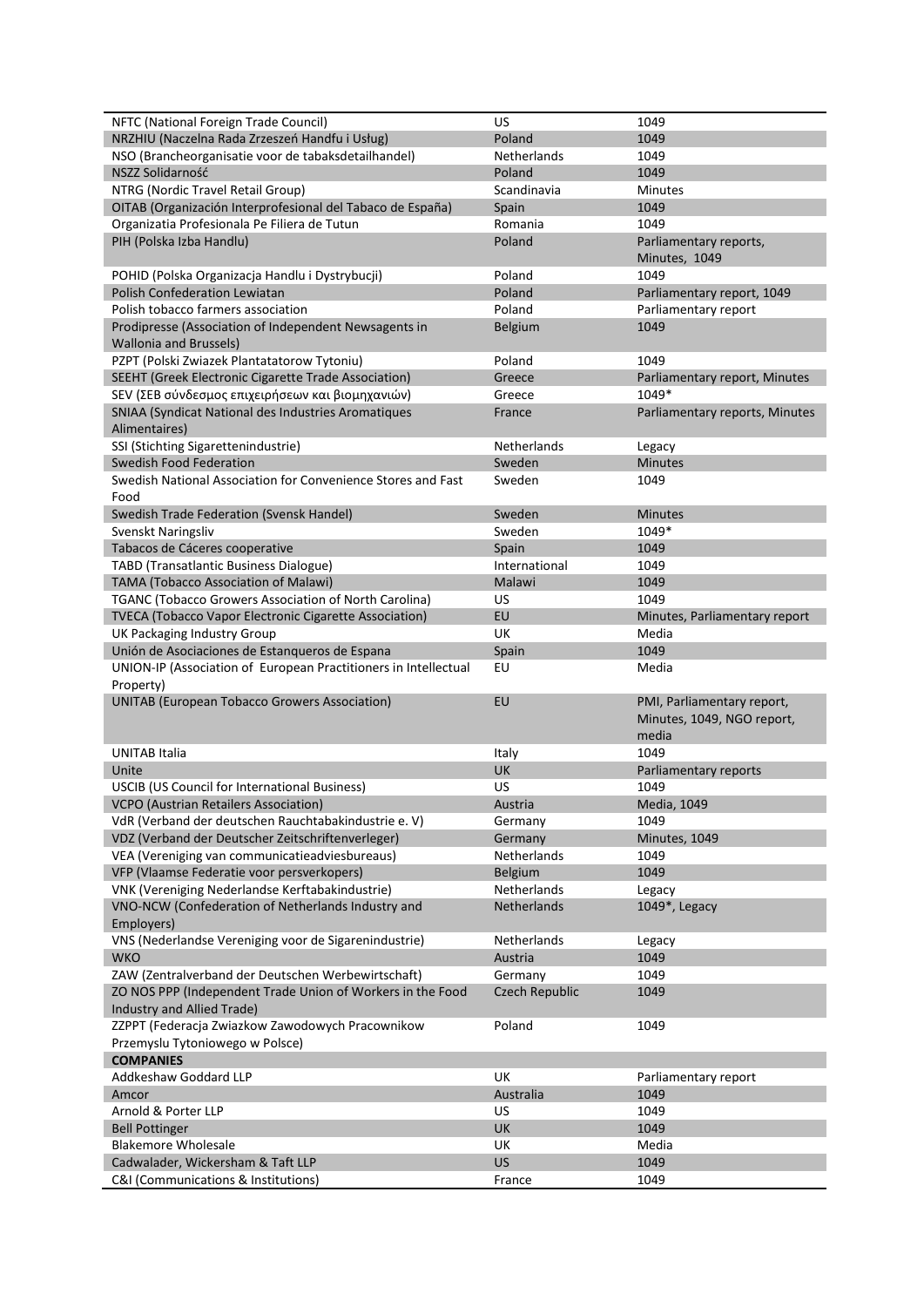| NFTC (National Foreign Trade Council)                                                        | US                    | 1049                                   |
|----------------------------------------------------------------------------------------------|-----------------------|----------------------------------------|
| NRZHIU (Naczelna Rada Zrzeszeń Handfu i Usług)                                               | Poland                | 1049                                   |
| NSO (Brancheorganisatie voor de tabaksdetailhandel)                                          | Netherlands           | 1049                                   |
| NSZZ Solidarność                                                                             | Poland                | 1049                                   |
| NTRG (Nordic Travel Retail Group)                                                            | Scandinavia           | <b>Minutes</b>                         |
| OITAB (Organización Interprofesional del Tabaco de España)                                   | Spain                 | 1049                                   |
| Organizatia Profesionala Pe Filiera de Tutun                                                 | Romania               | 1049                                   |
| PIH (Polska Izba Handlu)                                                                     | Poland                | Parliamentary reports,                 |
|                                                                                              |                       | Minutes, 1049                          |
| POHID (Polska Organizacja Handlu i Dystrybucji)                                              | Poland                | 1049                                   |
| <b>Polish Confederation Lewiatan</b>                                                         | Poland                | Parliamentary report, 1049             |
| Polish tobacco farmers association                                                           | Poland                | Parliamentary report                   |
| Prodipresse (Association of Independent Newsagents in                                        | Belgium               | 1049                                   |
| <b>Wallonia and Brussels)</b>                                                                |                       |                                        |
| PZPT (Polski Zwiazek Plantatatorow Tytoniu)                                                  | Poland                | 1049                                   |
|                                                                                              |                       |                                        |
| SEEHT (Greek Electronic Cigarette Trade Association)                                         | Greece                | Parliamentary report, Minutes<br>1049* |
| SEV (ΣΕΒ σύνδεσμος επιχειρήσεων και βιομηχανιών)                                             | Greece                |                                        |
| SNIAA (Syndicat National des Industries Aromatiques                                          | France                | Parliamentary reports, Minutes         |
| Alimentaires)                                                                                |                       |                                        |
| SSI (Stichting Sigarettenindustrie)                                                          | Netherlands           | Legacy                                 |
| Swedish Food Federation                                                                      | Sweden                | <b>Minutes</b>                         |
| Swedish National Association for Convenience Stores and Fast                                 | Sweden                | 1049                                   |
| Food                                                                                         |                       |                                        |
| Swedish Trade Federation (Svensk Handel)                                                     | Sweden                | <b>Minutes</b>                         |
| Svenskt Naringsliv                                                                           | Sweden                | 1049*                                  |
| Tabacos de Cáceres cooperative                                                               | Spain                 | 1049                                   |
| <b>TABD (Transatlantic Business Dialogue)</b>                                                | International         | 1049                                   |
| TAMA (Tobacco Association of Malawi)                                                         | Malawi                | 1049                                   |
| TGANC (Tobacco Growers Association of North Carolina)                                        | US                    | 1049                                   |
| TVECA (Tobacco Vapor Electronic Cigarette Association)                                       | EU                    | Minutes, Parliamentary report          |
| UK Packaging Industry Group                                                                  | UK                    | Media                                  |
| Unión de Asociaciones de Estanqueros de Espana                                               | Spain                 | 1049                                   |
|                                                                                              | EU                    |                                        |
| UNION-IP (Association of European Practitioners in Intellectual                              |                       | Media                                  |
| Property)                                                                                    |                       |                                        |
| <b>UNITAB (European Tobacco Growers Association)</b>                                         | EU                    | PMI, Parliamentary report,             |
|                                                                                              |                       | Minutes, 1049, NGO report,             |
|                                                                                              |                       | media                                  |
| UNITAB Italia                                                                                | Italy                 | 1049                                   |
| Unite                                                                                        | UK                    | Parliamentary reports                  |
| <b>USCIB (US Council for International Business)</b>                                         | US                    | 1049                                   |
| <b>VCPO</b> (Austrian Retailers Association)                                                 | Austria               |                                        |
|                                                                                              | Germany               | Media, 1049<br>1049                    |
| VdR (Verband der deutschen Rauchtabakindustrie e. V)                                         | Germany               |                                        |
| VDZ (Verband der Deutscher Zeitschriftenverleger)                                            | Netherlands           | Minutes, 1049<br>1049                  |
| VEA (Vereniging van communicatieadviesbureaus)<br>VFP (Vlaamse Federatie voor persverkopers) | Belgium               | 1049                                   |
|                                                                                              | Netherlands           |                                        |
| VNK (Vereniging Nederlandse Kerftabakindustrie)                                              | <b>Netherlands</b>    | Legacy                                 |
| VNO-NCW (Confederation of Netherlands Industry and                                           |                       | 1049*, Legacy                          |
| Employers)                                                                                   |                       |                                        |
| VNS (Nederlandse Vereniging voor de Sigarenindustrie)                                        | Netherlands           | Legacy                                 |
| <b>WKO</b>                                                                                   | Austria               | 1049                                   |
| ZAW (Zentralverband der Deutschen Werbewirtschaft)                                           | Germany               | 1049                                   |
| ZO NOS PPP (Independent Trade Union of Workers in the Food                                   | <b>Czech Republic</b> | 1049                                   |
| Industry and Allied Trade)                                                                   | Poland                | 1049                                   |
| ZZPPT (Federacja Zwiazkow Zawodowych Pracownikow                                             |                       |                                        |
| Przemyslu Tytoniowego w Polsce)                                                              |                       |                                        |
| <b>COMPANIES</b>                                                                             |                       |                                        |
| Addkeshaw Goddard LLP                                                                        | UK                    | Parliamentary report                   |
| Amcor                                                                                        | Australia             | 1049                                   |
| Arnold & Porter LLP                                                                          | US                    | 1049                                   |
| <b>Bell Pottinger</b>                                                                        | UK                    | 1049                                   |
| <b>Blakemore Wholesale</b>                                                                   | UK                    | Media                                  |
| Cadwalader, Wickersham & Taft LLP<br>C&I (Communications & Institutions)                     | <b>US</b><br>France   | 1049<br>1049                           |